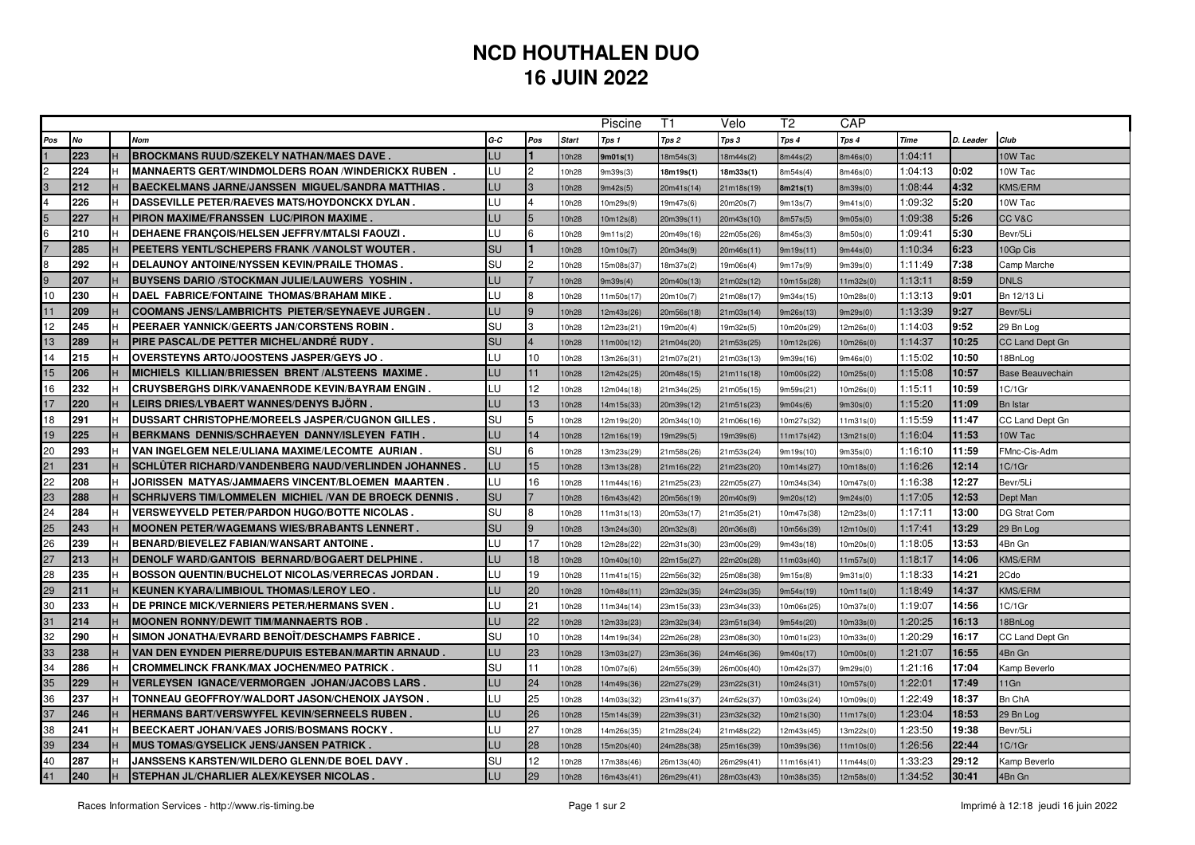## **NCD HOUTHALEN DUO16 JUIN 2022**

|                |           |   |                                                         |           |                 |              |            | T1         | Velo       | T2         | CAP       |             |           |                         |
|----------------|-----------|---|---------------------------------------------------------|-----------|-----------------|--------------|------------|------------|------------|------------|-----------|-------------|-----------|-------------------------|
| Pos            | <b>No</b> |   | Nom                                                     | G-C       | Pos             | <b>Start</b> | Tps 1      | Tps 2      | Tps 3      | Tps 4      | Tps 4     | <b>Time</b> | D. Leader | Club                    |
|                | 223       | н | <b>BROCKMANS RUUD/SZEKELY NATHAN/MAES DAVE.</b>         | LU        |                 | 10h28        | 9m01s(1)   | 18m54s(3)  | 18m44s(2)  | 8m44s(2)   | 8m46s(0)  | 1:04:11     |           | 10W Tac                 |
| $\overline{c}$ | 224       |   | MANNAERTS GERT/WINDMOLDERS ROAN /WINDERICKX RUBEN .     | LU        | $\mathcal{P}$   | 10h28        | m39s(3)    | 18m19s(1)  | 18m33s(1)  | 8m54s(4)   | 8m46s(0)  | 1:04:13     | 0:02      | 10W Tac                 |
| 3              | 212       |   | BAECKELMANS JARNE/JANSSEN MIGUEL/SANDRA MATTHIAS .      | LU        | $\mathbf{B}$    | 10h28        | 3m42s(5)   | 20m41s(14) | 21m18s(19) | 8m21s(1)   | Bm39s(0)  | 1:08:44     | 4:32      | <b>KMS/ERM</b>          |
|                | 226       |   | <b>DASSEVILLE PETER/RAEVES MATS/HOYDONCKX DYLAN.</b>    | LU        |                 | 0h28         | 0m29s(9)   | 19m47s(6)  | 20m20s(7)  | 9m13s(7)   | 9m41s(0)  | 1:09:32     | 5:20      | 10W Tac                 |
| 5              | 227       | н | PIRON MAXIME/FRANSSEN LUC/PIRON MAXIME.                 | LU        | $5\overline{5}$ | 10h28        | 10m12s(8)  | 20m39s(11) | 20m43s(10) | 8m57s(5)   | 9m05s(0)  | 1:09:38     | 5:26      | CC V&C                  |
| $\frac{6}{7}$  | 210       |   | DEHAENE FRANCOIS/HELSEN JEFFRY/MTALSI FAOUZI            | LU        | 6               | 10h28        | 3m11s(2)   | 20m49s(16) | 22m05s(26) | 8m45s(3)   | 8m50s(0)  | 1:09:41     | 5:30      | Bevr/5Li                |
|                | 285       |   | PEETERS YENTL/SCHEPERS FRANK / VANOLST WOUTER.          | SU        |                 | 10h28        | 0m10s(7)   | 20m34s(9)  | 20m46s(11) | 9m19s(11)  | 9m44s(0)  | 1:10:34     | 6:23      | 10Gp Cis                |
| 8              | 292       |   | <b>DELAUNOY ANTOINE/NYSSEN KEVIN/PRAILE THOMAS</b>      | SU        | $\mathcal{D}$   | 10h28        | 5m08s(37)  | 18m37s(2)  | 19m06s(4)  | 9m17s(9)   | 9m39s(0)  | 1:11:49     | 7:38      | Camp Marche             |
| 9              | 207       |   | <b>BUYSENS DARIO /STOCKMAN JULIE/LAUWERS YOSHIN.</b>    | LU        |                 | 10h28        | 9m39s(4)   | 20m40s(13) | 21m02s(12) | 10m15s(28) | 11m32s(0) | 1:13:11     | 8:59      | <b>DNLS</b>             |
| 10             | 230       |   | DAEL FABRICE/FONTAINE THOMAS/BRAHAM MIKE                | LU        | <sub>8</sub>    | 10h28        | 11m50s(17) | 20m10s(7)  | 21m08s(17) | 9m34s(15)  | 10m28s(0) | 1:13:13     | 9:01      | Bn 12/13 Li             |
| 11             | 209       |   | <b>COOMANS JENS/LAMBRICHTS PIETER/SEYNAEVE JURGEN.</b>  | LU        | 9               | 10h28        | 12m43s(26) | 20m56s(18) | 21m03s(14) | 9m26s(13)  | 9m29s(0)  | 1:13:39     | 9:27      | Bevr/5Li                |
| 12             | 245       |   | PEERAER YANNICK/GEERTS JAN/CORSTENS ROBIN .             | SU        | ß.              | 10h28        | 12m23s(21) | 19m20s(4)  | 19m32s(5)  | 10m20s(29) | 12m26s(0) | 1:14:03     | 9:52      | 29 Bn Log               |
| 13             | 289       |   | PIRE PASCAL/DE PETTER MICHEL/ANDRÉ RUDY .               | SU        |                 | 10h28        | 1m00s(12)  | 21m04s(20) | 21m53s(25) | 10m12s(26) | 10m26s(0) | 1:14:37     | 10:25     | CC Land Dept Gn         |
| 14             | 215       |   | <b>OVERSTEYNS ARTO/JOOSTENS JASPER/GEYS JO</b>          | LU.       | 10              | 10h28        | 13m26s(31) | 21m07s(21) | 21m03s(13) | 9m39s(16)  | 9m46s(0)  | 1:15:02     | 10:50     | 18BnLog                 |
| 15             | 206       |   | MICHIELS KILLIAN/BRIESSEN BRENT/ALSTEENS MAXIME.        | LU        | 11              | 10h28        | 2m42s(25)  | 20m48s(15) | 21m11s(18) | 10m00s(22) | 10m25s(0) | 1:15:08     | 10:57     | <b>Base Beauvechain</b> |
| 16             | 232       |   | CRUYSBERGHS DIRK/VANAENRODE KEVIN/BAYRAM ENGIN.         | LU        | 12 <sup>°</sup> | 10h28        | 2m04s(18)  | 21m34s(25) | 21m05s(15) | 9m59s(21)  | 10m26s(0) | 1:15:11     | 10:59     | 1C/1Gr                  |
| 17             | 220       |   | <b>LEIRS DRIES/LYBAERT WANNES/DENYS BJORN .</b>         | LU        | 13              | 10h28        | 4m15s(33)  | 20m39s(12) | 21m51s(23) | 9m04s(6)   | 9m30s(0)  | 1:15:20     | 11:09     | <b>Bn Istar</b>         |
| 18             | 291       |   | <b>DUSSART CHRISTOPHE/MOREELS JASPER/CUGNON GILLES</b>  | SU        | 5               | 0h28         | 2m19s(20)  | 20m34s(10) | 21m06s(16) | 10m27s(32) | 11m31s(0) | 1:15:59     | 11:47     | CC Land Dept Gn         |
| 19             | 225       |   | <b>BERKMANS DENNIS/SCHRAEYEN DANNY/ISLEYEN FATIH.</b>   | LU        | 14              | 10h28        | 12m16s(19) | 19m29s(5)  | 19m39s(6)  | 11m17s(42) | 13m21s(0) | 1:16:04     | 11:53     | 10W Tac                 |
| 20             | 293       |   | VAN INGELGEM NELE/ULIANA MAXIME/LECOMTE AURIAN .        | SU        | 6               | 0h28         | 3m23s(29)  | 21m58s(26) | 21m53s(24) | 9m19s(10)  | 9m35s(0)  | 1:16:10     | 11:59     | FMnc-Cis-Adm            |
| 21             | 231       |   | SCHLUTER RICHARD/VANDENBERG NAUD/VERLINDEN JOHANNES     | LU        | 15              | 10h28        | 13m13s(28) | 21m16s(22) | 21m23s(20) | 10m14s(27) | 10m18s(0) | 1:16:26     | 12:14     | 1C/1Gr                  |
| 22             | 208       |   | JORISSEN MATYAS/JAMMAERS VINCENT/BLOEMEN MAARTEN .      | LU        | 16              | 10h28        | 1m44s(16)  | 21m25s(23) | 22m05s(27) | 10m34s(34) | 10m47s(0) | 1:16:38     | 12:27     | Bevr/5Li                |
| 23             | 288       |   | SCHRIJVERS TIM/LOMMELEN MICHIEL / VAN DE BROECK DENNIS  | <b>SU</b> |                 | 10h28        | 16m43s(42) | 20m56s(19) | 20m40s(9)  | 9m20s(12)  | 9m24s(0)  | 1:17:05     | 12:53     | Dept Man                |
| 24             | 284       |   | <b>VERSWEYVELD PETER/PARDON HUGO/BOTTE NICOLAS</b>      | SU        | 8               | 0h28         | 1m31s(13)  | 20m53s(17) | 21m35s(21) | 10m47s(38) | 12m23s(0) | 1:17:11     | 13:00     | DG Strat Com            |
| 25             | 243       |   | <b>MOONEN PETER/WAGEMANS WIES/BRABANTS LENNERT .</b>    | <b>SU</b> | $\mathbf{Q}$    | 10h28        | 13m24s(30) | 20m32s(8)  | 20m36s(8)  | 10m56s(39) | 12m10s(0) | 1:17:41     | 13:29     | 29 Bn Log               |
| 26             | 239       |   | <b>BENARD/BIEVELEZ FABIAN/WANSART ANTOINE</b>           | LU        | 17              | 10h28        | 2m28s(22)  | 22m31s(30) | 23m00s(29) | 9m43s(18)  | 10m20s(0) | 1:18:05     | 13:53     | 4Bn Gn                  |
| 27             | 213       |   | DENOLF WARD/GANTOIS BERNARD/BOGAERT DELPHINE .          | LU        | 18              | 10h28        | 10m40s(10) | 22m15s(27) | 22m20s(28) | 11m03s(40) | 11m57s(0) | 1:18:17     | 14:06     | <b>KMS/ERM</b>          |
| 28             | 235       |   | <b>BOSSON QUENTIN/BUCHELOT NICOLAS/VERRECAS JORDAN.</b> | LU        | 19              | 10h28        | 1m41s(15)  | 22m56s(32) | 25m08s(38) | 9m15s(8)   | 9m31s(0)  | 1:18:33     | 14:21     | 2Cdo                    |
| 29             | 211       | н | KEUNEN KYARA/LIMBIOUL THOMAS/LEROY LEO                  | LU        | 20              | 10h28        | 0m48s(11)  | 23m32s(35) | 24m23s(35) | 9m54s(19)  | 10m11s(0) | 1:18:49     | 14:37     | <b>KMS/ERM</b>          |
| 30             | 233       |   | DE PRINCE MICK/VERNIERS PETER/HERMANS SVEN.             | LU        | 21              | 10h28        | 1m34s(14)  | 23m15s(33) | 23m34s(33) | 10m06s(25) | 10m37s(0) | 1:19:07     | 14:56     | 1C/1Gr                  |
| 31             | 214       |   | <b>MOONEN RONNY/DEWIT TIM/MANNAERTS ROB</b>             | LU        | 22              | 10h28        | 2m33s(23)  | 23m32s(34) | 23m51s(34) | 9m54s(20)  | 10m33s(0) | 1:20:25     | 16:13     | 18BnLog                 |
| 32             | 290       |   | SIMON JONATHA/EVRARD BENOIT/DESCHAMPS FABRICE           | SU        | 10              | 10h28        | 4m19s(34)  | 22m26s(28) | 23m08s(30) | 10m01s(23) | 10m33s(0) | 1:20:29     | 16:17     | CC Land Dept Gn         |
| 33             | 238       |   | VAN DEN EYNDEN PIERRE/DUPUIS ESTEBAN/MARTIN ARNAUD .    | LU        | 23              | 10h28        | 3m03s(27)  | 23m36s(36) | 24m46s(36) | 9m40s(17)  | 10m00s(0) | 1:21:07     | 16:55     | 4Bn Gn                  |
| 34             | 286       |   | CROMMELINCK FRANK/MAX JOCHEN/MEO PATRICK .              | SU        | 11              | 10h28        | 10m07s(6)  | 24m55s(39) | 26m00s(40) | 10m42s(37) | 9m29s(0)  | 1:21:16     | 17:04     | Kamp Beverlo            |
| 35             | 229       |   | VERLEYSEN IGNACE/VERMORGEN JOHAN/JACOBS LARS .          | LU        | 24              | 10h28        | 4m49s(36)  | 22m27s(29) | 23m22s(31) | 10m24s(31) | 10m57s(0) | 1:22:01     | 17:49     | 11Gn                    |
| 36             | 237       |   | TONNEAU GEOFFROY/WALDORT JASON/CHENOIX JAYSON .         | LU        | 25              | 10h28        | 4m03s(32)  | 23m41s(37) | 24m52s(37) | 10m03s(24) | 10m09s(0) | 1:22:49     | 18:37     | <b>Bn ChA</b>           |
| 37             | 246       |   | <b>HERMANS BART/VERSWYFEL KEVIN/SERNEELS RUBEN.</b>     | LU        | 26              | 10h28        | 5m14s(39)  | 22m39s(31) | 23m32s(32) | 10m21s(30) | 11m17s(0) | 1:23:04     | 18:53     | 29 Bn Log               |
| 38             | 241       |   | BEECKAERT JOHAN/VAES JORIS/BOSMANS ROCKY.               | LU        | 27              | 10h28        | 4m26s(35)  | 21m28s(24) | 21m48s(22) | 12m43s(45) | 13m22s(0) | 1:23:50     | 19:38     | Bevr/5Li                |
| 39             | 234       |   | MUS TOMAS/GYSELICK JENS/JANSEN PATRICK .                | LU        | 28              | 10h28        | 5m20s(40)  | 24m28s(38) | 25m16s(39) | 10m39s(36) | 11m10s(0) | 1:26:56     | 22:44     | 1C/1Gr                  |
| 40             | 287       |   | JANSSENS KARSTEN/WILDERO GLENN/DE BOEL DAVY .           | SU        | 12              | 10h28        | 7m38s(46)  | 26m13s(40) | 26m29s(41) | 11m16s(41) | 11m44s(0) | 1:33:23     | 29:12     | Kamp Beverlo            |
| 41             | 240       | H | STEPHAN JL/CHARLIER ALEX/KEYSER NICOLAS                 | LU        | 29              | 10h28        | 16m43s(41) | 26m29s(41) | 28m03s(43) | 10m38s(35) | 12m58s(0) | 1:34:52     | 30:41     | 4Bn Gn                  |